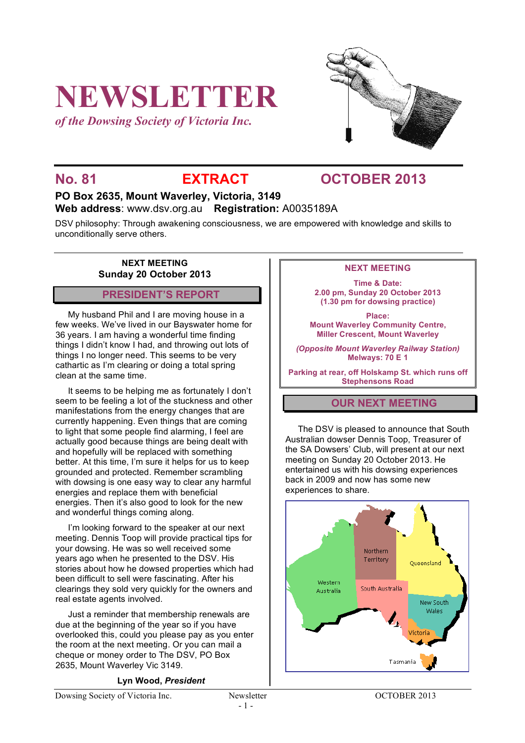# **NEWSLETTER**

*of the Dowsing Society of Victoria Inc.*



## **No. 81 EXTRACT OCTOBER 2013**

#### **PO Box 2635, Mount Waverley, Victoria, 3149 Web address**: www.dsv.org.au **Registration:** A0035189A

DSV philosophy: Through awakening consciousness, we are empowered with knowledge and skills to unconditionally serve others.

> **NEXT MEETING Sunday 20 October 2013**

#### **PRESIDENT'S REPORT**

My husband Phil and I are moving house in a few weeks. We've lived in our Bayswater home for 36 years. I am having a wonderful time finding things I didn't know I had, and throwing out lots of things I no longer need. This seems to be very cathartic as I'm clearing or doing a total spring clean at the same time.

It seems to be helping me as fortunately I don't seem to be feeling a lot of the stuckness and other manifestations from the energy changes that are currently happening. Even things that are coming to light that some people find alarming, I feel are actually good because things are being dealt with and hopefully will be replaced with something better. At this time, I'm sure it helps for us to keep grounded and protected. Remember scrambling with dowsing is one easy way to clear any harmful energies and replace them with beneficial energies. Then it's also good to look for the new and wonderful things coming along.

I'm looking forward to the speaker at our next meeting. Dennis Toop will provide practical tips for your dowsing. He was so well received some years ago when he presented to the DSV. His stories about how he dowsed properties which had been difficult to sell were fascinating. After his clearings they sold very quickly for the owners and real estate agents involved.

Just a reminder that membership renewals are due at the beginning of the year so if you have overlooked this, could you please pay as you enter the room at the next meeting. Or you can mail a cheque or money order to The DSV, PO Box 2635, Mount Waverley Vic 3149.

#### **Lyn Wood,** *President*

Dowsing Society of Victoria Inc. Newsletter OCTOBER 2013

#### **NEXT MEETING**

**Time & Date: 2.00 pm, Sunday 20 October 2013 (1.30 pm for dowsing practice)**

**Place: Mount Waverley Community Centre, Miller Crescent, Mount Waverley**

*(Opposite Mount Waverley Railway Station)* **Melways: 70 E 1**

**Parking at rear, off Holskamp St. which runs off Stephensons Road**

#### **OUR NEXT MEETING**

The DSV is pleased to announce that South Australian dowser Dennis Toop, Treasurer of the SA Dowsers' Club, will present at our next meeting on Sunday 20 October 2013. He entertained us with his dowsing experiences back in 2009 and now has some new experiences to share.

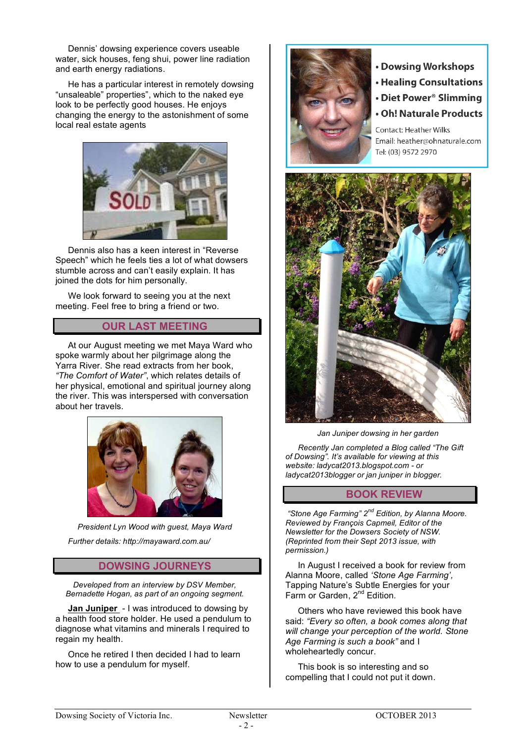Dennis' dowsing experience covers useable water, sick houses, feng shui, power line radiation and earth energy radiations.

He has a particular interest in remotely dowsing "unsaleable" properties", which to the naked eye look to be perfectly good houses. He enjoys changing the energy to the astonishment of some local real estate agents



Dennis also has a keen interest in "Reverse Speech" which he feels ties a lot of what dowsers stumble across and can't easily explain. It has joined the dots for him personally.

We look forward to seeing you at the next meeting. Feel free to bring a friend or two.

#### **OUR LAST MEETING**

At our August meeting we met Maya Ward who spoke warmly about her pilgrimage along the Yarra River. She read extracts from her book, *"The Comfort of Water"*, which relates details of her physical, emotional and spiritual journey along the river. This was interspersed with conversation about her travels.



*President Lyn Wood with guest, Maya Ward Further details: http://mayaward.com.au/*

#### **DOWSING JOURNEYS**

*Developed from an interview by DSV Member, Bernadette Hogan, as part of an ongoing segment.*

**Jan Juniper** - I was introduced to dowsing by a health food store holder. He used a pendulum to diagnose what vitamins and minerals I required to regain my health.

Once he retired I then decided I had to learn how to use a pendulum for myself.



- Dowsing Workshops
- **Healing Consultations**
- Diet Power<sup>®</sup> Slimming
- Oh! Naturale Products

Contact: Heather Wilks Email: heather@ohnaturale.com Tel: (03) 9572 2970



*Jan Juniper dowsing in her garden*

*Recently Jan completed a Blog called "The Gift of Dowsing". It's available for viewing at this website: ladycat2013.blogspot.com - or ladycat2013blogger or jan juniper in blogger.*

#### **BOOK REVIEW**

 *"Stone Age Farming" 2nd Edition, by Alanna Moore. Reviewed by François Capmeil, Editor of the Newsletter for the Dowsers Society of NSW. (Reprinted from their Sept 2013 issue, with permission.)*

In August I received a book for review from Alanna Moore, called *'Stone Age Farming',* Tapping Nature's Subtle Energies for your Farm or Garden, 2<sup>nd</sup> Edition.

Others who have reviewed this book have said: *"Every so often, a book comes along that will change your perception of the world. Stone Age Farming is such a book"* and I wholeheartedly concur.

This book is so interesting and so compelling that I could not put it down.